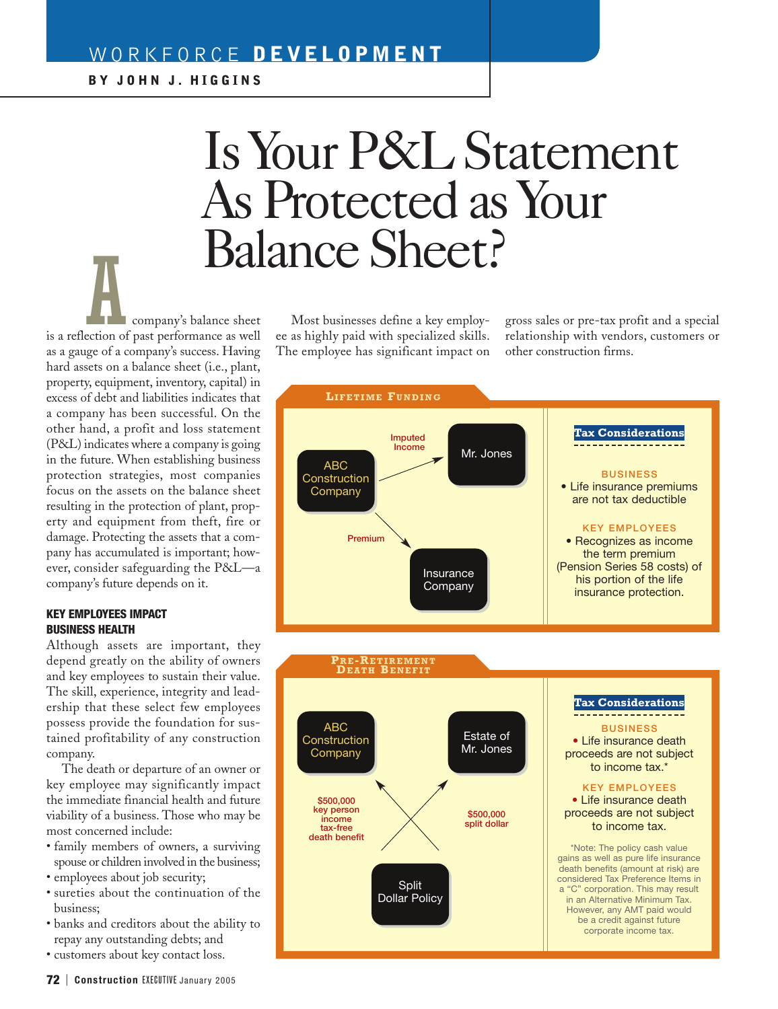# WORKFORCE **DEVELOPMENT**

# Is Your P&L Statement As Protected as Your Balance Sheet?

Acompany's balance sheet is a reflection of past performance as well as a gauge of a company's success. Having hard assets on a balance sheet (i.e., plant, property, equipment, inventory, capital) in excess of debt and liabilities indicates that a company has been successful. On the other hand, a profit and loss statement (P&L) indicates where a company is going in the future. When establishing business protection strategies, most companies focus on the assets on the balance sheet resulting in the protection of plant, property and equipment from theft, fire or damage. Protecting the assets that a company has accumulated is important; however, consider safeguarding the P&L—a company's future depends on it.

#### **KEY EMPLOYEES IMPACT BUSINESS HEALTH**

Although assets are important, they depend greatly on the ability of owners and key employees to sustain their value. The skill, experience, integrity and leadership that these select few employees possess provide the foundation for sustained profitability of any construction company.

The death or departure of an owner or key employee may significantly impact the immediate financial health and future viability of a business. Those who may be most concerned include:

- family members of owners, a surviving spouse or children involved in the business;
- employees about job security;
- sureties about the continuation of the business;
- banks and creditors about the ability to repay any outstanding debts; and
- customers about key contact loss.

Most businesses define a key employee as highly paid with specialized skills. The employee has significant impact on gross sales or pre-tax profit and a special relationship with vendors, customers or other construction firms.



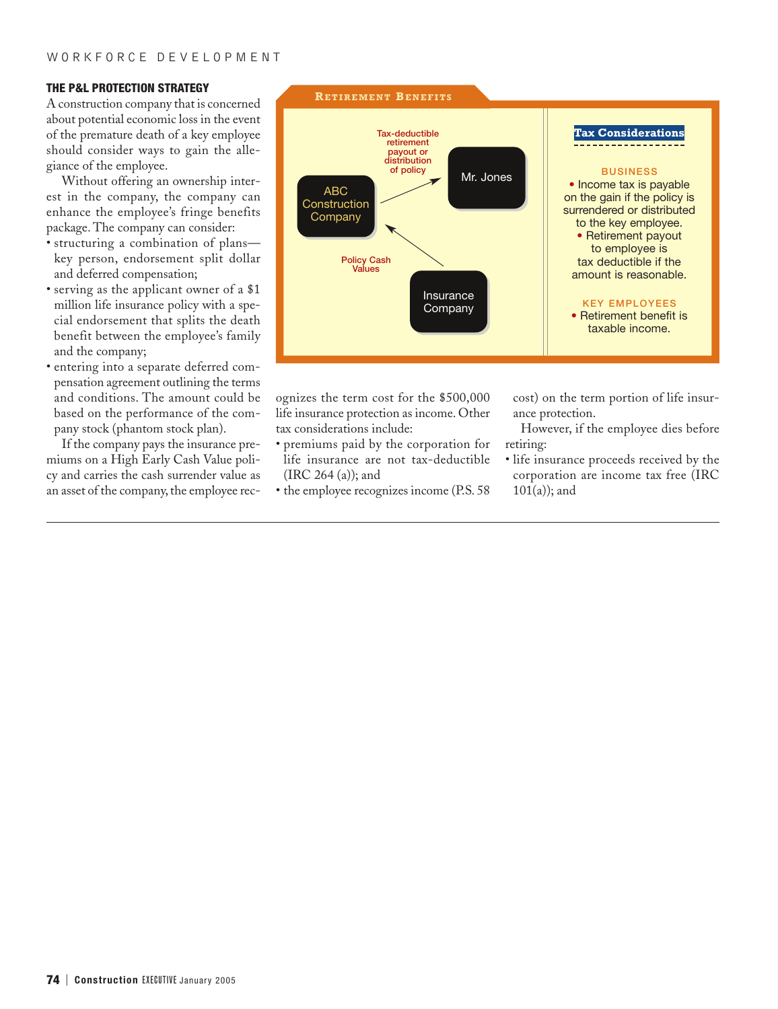## **THE P&L PROTECTION STRATEGY**

A construction company that is concerned about potential economic loss in the event of the premature death of a key employee should consider ways to gain the allegiance of the employee.

Without offering an ownership interest in the company, the company can enhance the employee's fringe benefits package. The company can consider:

- structuring a combination of plans key person, endorsement split dollar and deferred compensation;
- serving as the applicant owner of a \$1 million life insurance policy with a special endorsement that splits the death benefit between the employee's family and the company;
- entering into a separate deferred compensation agreement outlining the terms and conditions. The amount could be based on the performance of the company stock (phantom stock plan).

If the company pays the insurance premiums on a High Early Cash Value policy and carries the cash surrender value as an asset of the company, the employee rec-



ognizes the term cost for the \$500,000 life insurance protection as income. Other tax considerations include:

- premiums paid by the corporation for life insurance are not tax-deductible (IRC 264 (a)); and
- the employee recognizes income (P.S. 58

cost) on the term portion of life insurance protection.

However, if the employee dies before retiring:

• life insurance proceeds received by the corporation are income tax free (IRC  $101(a)$ ; and